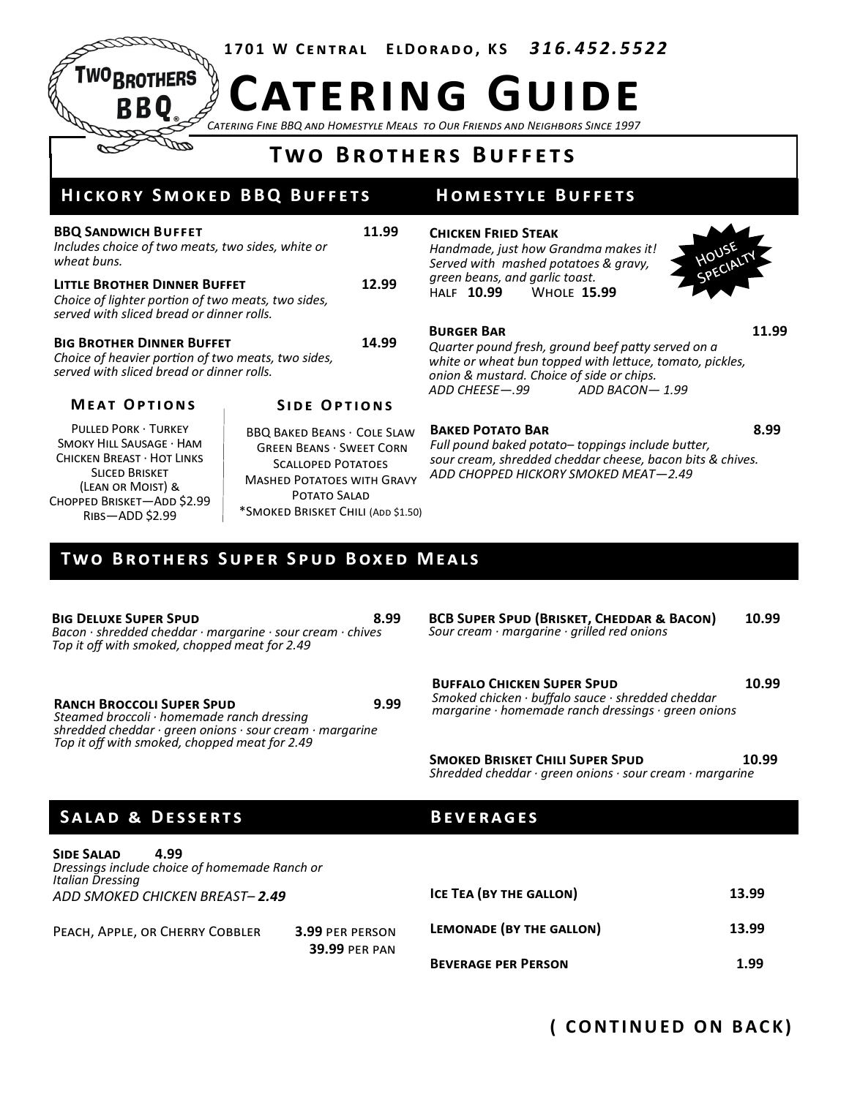**1 7 0 1 W C e n t r a l E l D o r a d o , K S** *3 1 6. 4 5 2. 5 5 2 2*

*Catering Fine BBQ and Homestyle Meals to Our Friends and Neighbors Since 1997* **Catering Guide**

# **T w o B r o t h e r s B u f f e t s**

# **HICKORY SMOKED BBQ BUFFETS**

**ROTHERS** 

| <b>BBQ SANDWICH BUFFET</b><br>Includes choice of two meats, two sides, white or<br>wheat buns.                                         | 11.99                                                                |
|----------------------------------------------------------------------------------------------------------------------------------------|----------------------------------------------------------------------|
| <b>LITTLE BROTHER DINNER BUFFET</b><br>Choice of lighter portion of two meats, two sides,<br>served with sliced bread or dinner rolls. | 12.99                                                                |
| <b>BIG BROTHER DINNER BUFFET</b><br>Choice of heavier portion of two meats, two sides,<br>served with sliced bread or dinner rolls.    | 14.99                                                                |
| <b>MEAT OPTIONS</b>                                                                                                                    | <b>SIDE OPTIONS</b>                                                  |
| <b>PULLED PORK · TURKEY</b><br>SMOKY HILL SAUSAGE · HAM<br>CHICKEN BREAST · HOT LINKS                                                  | <b>BBQ BAKED BEANS · COLE SLA</b><br><b>GREEN BEANS · SWEET CORN</b> |

Chicken Breast · Hot Links Sliced Brisket (Lean or Moist) & CHOPPED BRISKET-ADD \$2.99 Ribs—ADD \$2.99

BBQ Baked Beans · Cole Slaw Green Beans · Sweet Corn Scalloped Potatoes Mashed Potatoes with Gravy Potato Salad \*Smoked Brisket Chili (Add \$1.50)

## **HOMESTYLE BUFFETS**

### **Chicken Fried Steak**

*Handmade, just how Grandma makes it! Served with mashed potatoes & gravy, green beans, and garlic toast.* Half **10.99** Whole **15.99**



#### **BURGER BAR 11.99**

*Quarter pound fresh, ground beef patty served on a white or wheat bun topped with lettuce, tomato, pickles, onion & mustard. Choice of side or chips. ADD CHEESE—.99 ADD BACON— 1.99*

### BAKED POTATO BAR 8.99

*Full pound baked potato– toppings include butter, sour cream, shredded cheddar cheese, bacon bits & chives. ADD CHOPPED HICKORY SMOKED MEAT—2.49*

# **TWO BROTHERS SUPER SPUD BOXED MEALS**

**BIG DELUXE SUPER SPUD 8.99** *Bacon · shredded cheddar · margarine · sour cream · chives Top it off with smoked, chopped meat for 2.49*

**RANCH BROCCOLI SUPER SPUD**<br>**margarine · homemade ranch dressings · green onions** *margarine · homemade ranch dressings · green onions Steamed broccoli · homemade ranch dressing shredded cheddar · green onions · sour cream · margarine Top it off with smoked, chopped meat for 2.49*

**BCB Super Spud (Brisket, Cheddar & Bacon) 10.99** *Sour cream · margarine · grilled red onions*

**BUFFALO CHICKEN SUPER SPUD 10.99** *Smoked chicken · buffalo sauce · shredded cheddar* 

**SMOKED BRISKET CHILI SUPER SPUD 10.99** *Shredded cheddar · green onions · sour cream · margarine*

### SALAD & DESSERTS BEVERAGES

#### **Side Salad 4.99** *Dressings include choice of homemade Ranch or Italian Dressing ADD SMOKED CHICKEN BREAST– 2.49* Peach, Apple, or Cherry Cobbler **3.99** per person **39.99** per pan **Ice Tea (by the gallon) 13.99 Lemonade (by the gallon) 13.99 BEVERAGE PER PERSON 1.99**

# **( C O N T I N U E D O N B AC K )**